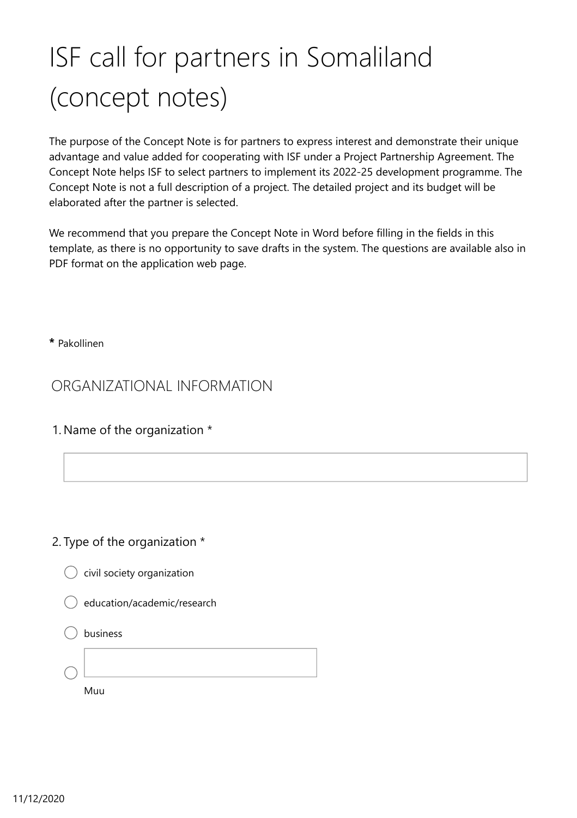# ISF call for partners in Somaliland (concept notes)

The purpose of the Concept Note is for partners to express interest and demonstrate their unique advantage and value added for cooperating with ISF under a Project Partnership Agreement. The Concept Note helps ISF to select partners to implement its 2022-25 development programme. The Concept Note is not a full description of a project. The detailed project and its budget will be elaborated after the partner is selected.

We recommend that you prepare the Concept Note in Word before filling in the fields in this template, as there is no opportunity to save drafts in the system. The questions are available also in PDF format on the application web page.

**\*** Pakollinen

ORGANIZATIONAL INFORMATION

1. Name of the organization \*

### 2. Type of the organization \*

 $\big)$  civil society organization



#### business

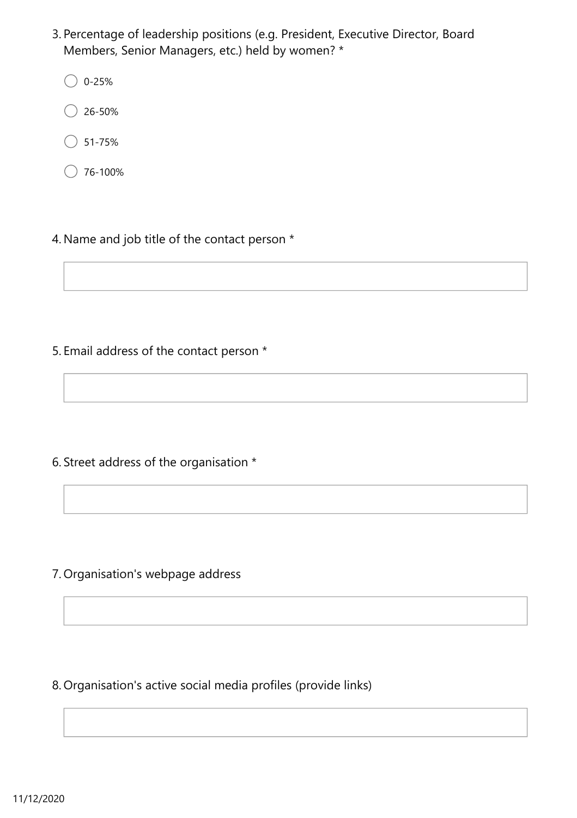- 3. Percentage of leadership positions (e.g. President, Executive Director, Board Members, Senior Managers, etc.) held by women? \*
	- $\bigcirc$  0-25%
	- 26-50%
	- $\big)$  51-75%
	- 76-100%
- 4. Name and job title of the contact person \*

5. Email address of the contact person \*

6. Street address of the organisation \*

7. Organisation's webpage address

8. Organisation's active social media profiles (provide links)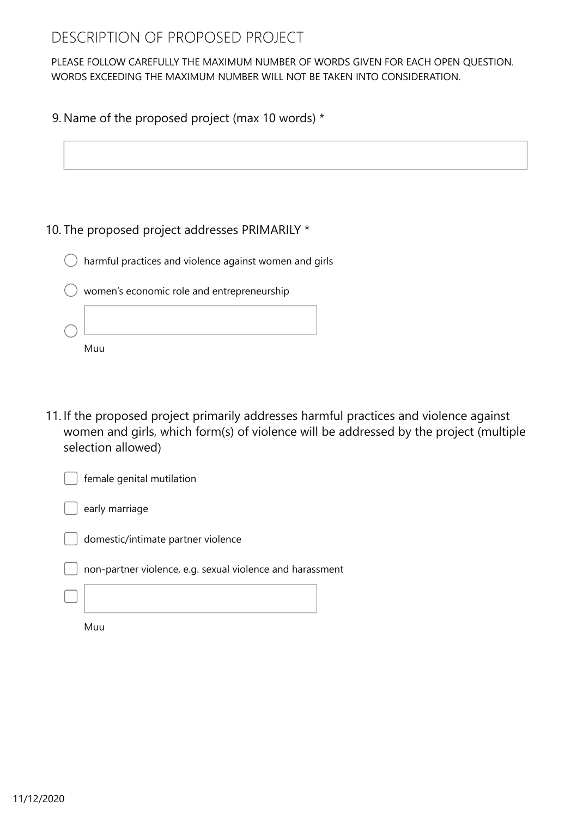## DESCRIPTION OF PROPOSED PROJECT

PLEASE FOLLOW CAREFULLY THE MAXIMUM NUMBER OF WORDS GIVEN FOR EACH OPEN QUESTION. WORDS EXCEEDING THE MAXIMUM NUMBER WILL NOT BE TAKEN INTO CONSIDERATION.

#### 9. Name of the proposed project (max 10 words) \*



#### 10. The proposed project addresses PRIMARILY \*

| $\cup$ harmful practices and violence against women and girls |  |  |  |  |
|---------------------------------------------------------------|--|--|--|--|
|                                                               |  |  |  |  |
|                                                               |  |  |  |  |

| women's economic role and entrepreneurship |
|--------------------------------------------|
|                                            |
|                                            |

11. If the proposed project primarily addresses harmful practices and violence against women and girls, which form(s) of violence will be addressed by the project (multiple selection allowed)



Muu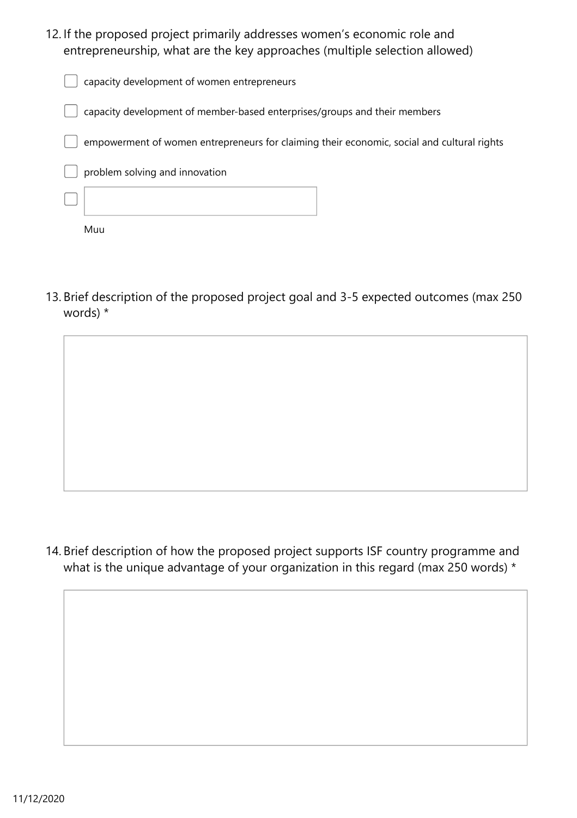12. If the proposed project primarily addresses women's economic role and entrepreneurship, what are the key approaches (multiple selection allowed)

|                                | capacity development of women entrepreneurs                                                |
|--------------------------------|--------------------------------------------------------------------------------------------|
|                                | capacity development of member-based enterprises/groups and their members                  |
|                                | empowerment of women entrepreneurs for claiming their economic, social and cultural rights |
| problem solving and innovation |                                                                                            |
|                                |                                                                                            |
| Muu                            |                                                                                            |

13. Brief description of the proposed project goal and 3-5 expected outcomes (max 250 words) \*

14. Brief description of how the proposed project supports ISF country programme and what is the unique advantage of your organization in this regard (max 250 words) \*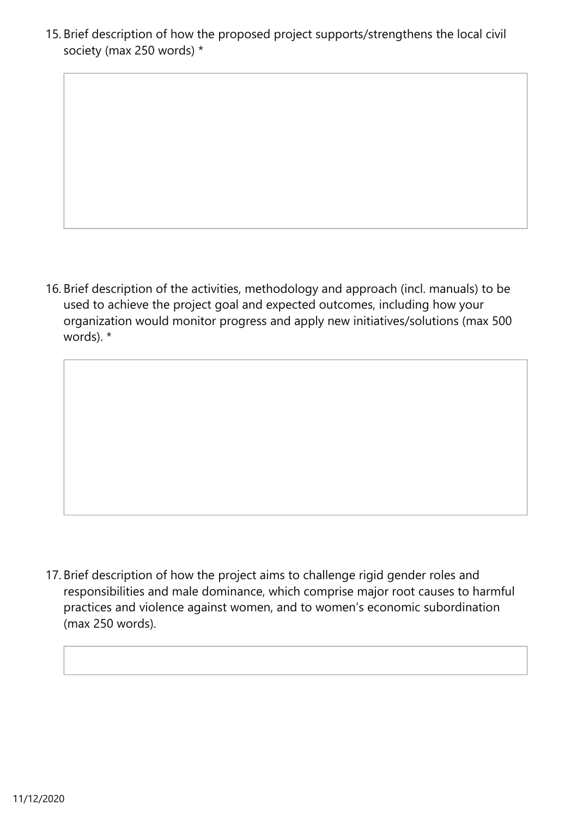15. Brief description of how the proposed project supports/strengthens the local civil society (max 250 words) \*

16. Brief description of the activities, methodology and approach (incl. manuals) to be used to achieve the project goal and expected outcomes, including how your organization would monitor progress and apply new initiatives/solutions (max 500 words). \*

17. Brief description of how the project aims to challenge rigid gender roles and responsibilities and male dominance, which comprise major root causes to harmful practices and violence against women, and to women's economic subordination (max 250 words).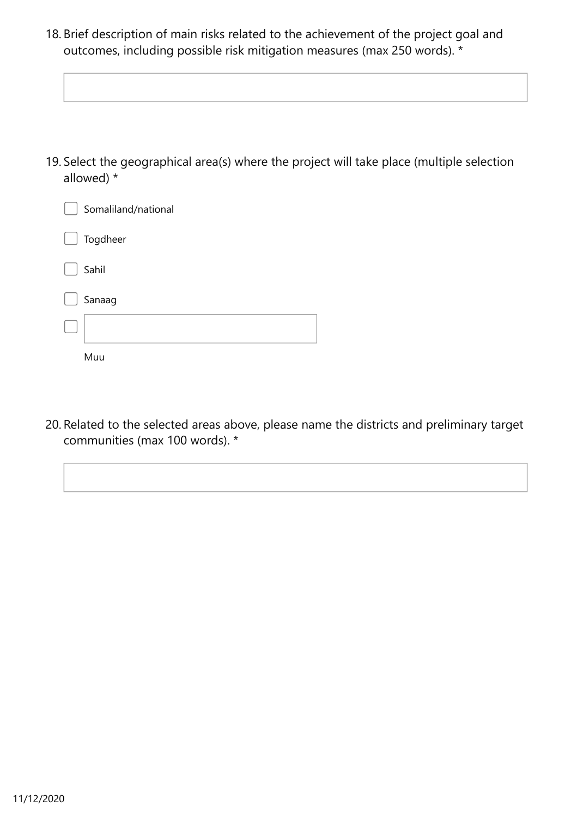18. Brief description of main risks related to the achievement of the project goal and outcomes, including possible risk mitigation measures (max 250 words). \*

19. Select the geographical area(s) where the project will take place (multiple selection allowed) \*

| Somaliland/national |
|---------------------|
| Togdheer            |
| Sahil               |
| Sanaag              |
|                     |
| Muu                 |

20. Related to the selected areas above, please name the districts and preliminary target communities (max 100 words). \*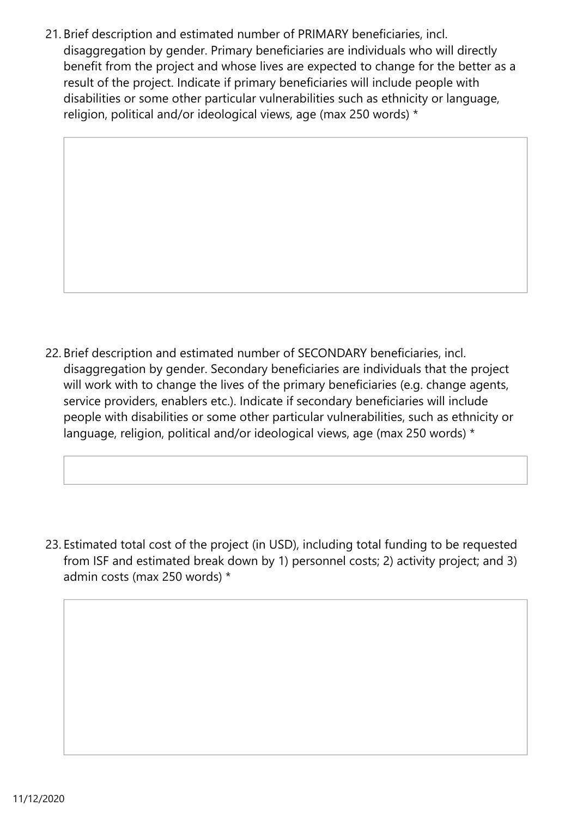21. Brief description and estimated number of PRIMARY beneficiaries, incl. disaggregation by gender. Primary beneficiaries are individuals who will directly benefit from the project and whose lives are expected to change for the better as a result of the project. Indicate if primary beneficiaries will include people with disabilities or some other particular vulnerabilities such as ethnicity or language, religion, political and/or ideological views, age (max 250 words) \*

22. Brief description and estimated number of SECONDARY beneficiaries, incl. disaggregation by gender. Secondary beneficiaries are individuals that the project will work with to change the lives of the primary beneficiaries (e.g. change agents, service providers, enablers etc.). Indicate if secondary beneficiaries will include people with disabilities or some other particular vulnerabilities, such as ethnicity or language, religion, political and/or ideological views, age (max 250 words) \*

23. Estimated total cost of the project (in USD), including total funding to be requested from ISF and estimated break down by 1) personnel costs; 2) activity project; and 3) admin costs (max 250 words) \*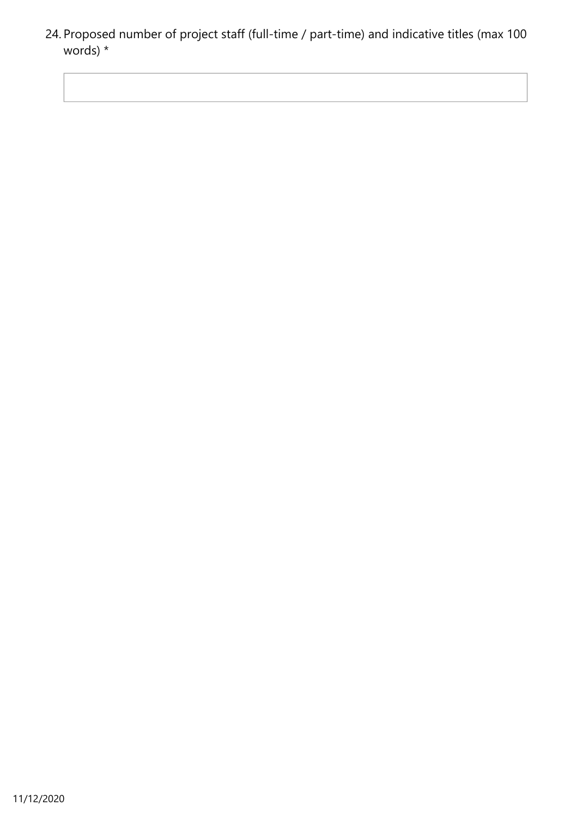24. Proposed number of project staff (full-time / part-time) and indicative titles (max 100 words) \*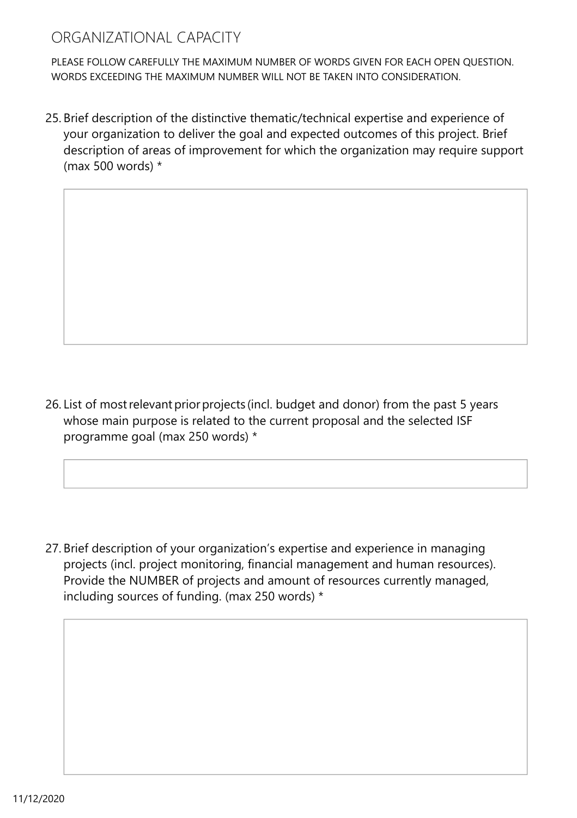## ORGANIZATIONAL CAPACITY

PLEASE FOLLOW CAREFULLY THE MAXIMUM NUMBER OF WORDS GIVEN FOR EACH OPEN QUESTION. WORDS EXCEEDING THE MAXIMUM NUMBER WILL NOT BE TAKEN INTO CONSIDERATION.

25. Brief description of the distinctive thematic/technical expertise and experience of your organization to deliver the goal and expected outcomes of this project. Brief description of areas of improvement for which the organization may require support (max 500 words) \*

26. List of most relevant prior projects (incl. budget and donor) from the past 5 years whose main purpose is related to the current proposal and the selected ISF programme goal (max 250 words) \*

27. Brief description of your organization's expertise and experience in managing projects (incl. project monitoring, financial management and human resources). Provide the NUMBER of projects and amount of resources currently managed, including sources of funding. (max 250 words) \*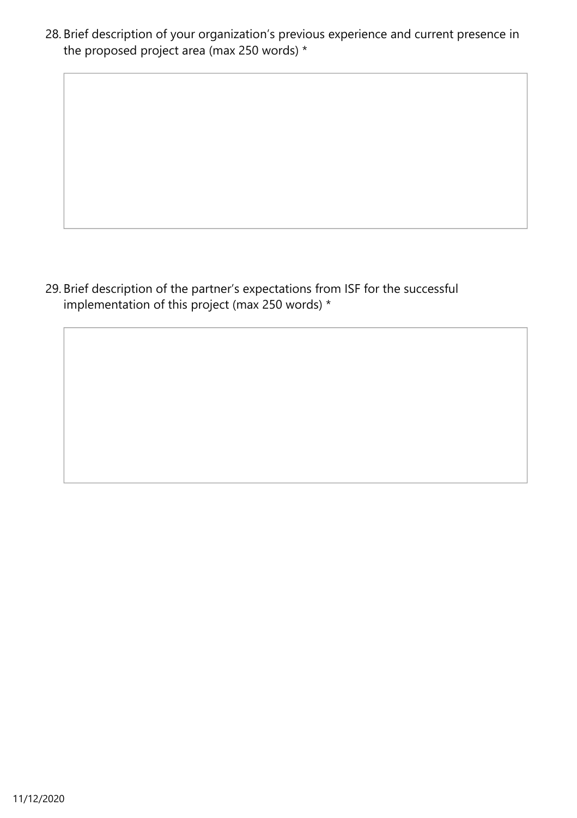28. Brief description of your organization's previous experience and current presence in the proposed project area (max 250 words) \*

29. Brief description of the partner's expectations from ISF for the successful implementation of this project (max 250 words) \*